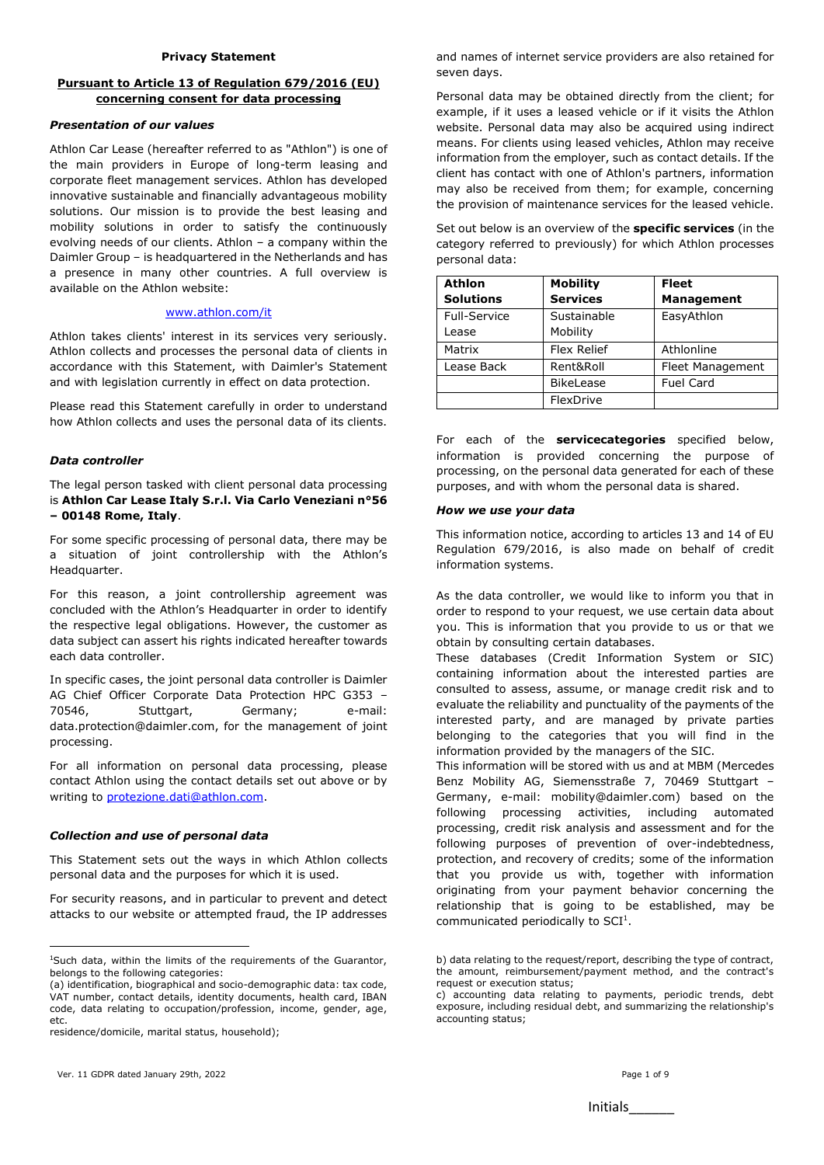## **Pursuant to Article 13 of Regulation 679/2016 (EU) concerning consent for data processing**

#### *Presentation of our values*

Athlon Car Lease (hereafter referred to as "Athlon") is one of the main providers in Europe of long-term leasing and corporate fleet management services. Athlon has developed innovative sustainable and financially advantageous mobility solutions. Our mission is to provide the best leasing and mobility solutions in order to satisfy the continuously evolving needs of our clients. Athlon – a company within the Daimler Group – is headquartered in the Netherlands and has a presence in many other countries. A full overview is available on the Athlon website:

#### [www.athlon.com/it](http://www.athlon.com/it)

Athlon takes clients' interest in its services very seriously. Athlon collects and processes the personal data of clients in accordance with this Statement, with Daimler's Statement and with legislation currently in effect on data protection.

Please read this Statement carefully in order to understand how Athlon collects and uses the personal data of its clients.

#### *Data controller*

The legal person tasked with client personal data processing is **Athlon Car Lease Italy S.r.l. Via Carlo Veneziani n°56 – 00148 Rome, Italy**.

For some specific processing of personal data, there may be a situation of joint controllership with the Athlon's Headquarter.

For this reason, a joint controllership agreement was concluded with the Athlon's Headquarter in order to identify the respective legal obligations. However, the customer as data subject can assert his rights indicated hereafter towards each data controller.

In specific cases, the joint personal data controller is Daimler AG Chief Officer Corporate Data Protection HPC G353 – 70546, Stuttgart, Germany; e-mail: data.protection@daimler.com, for the management of joint processing.

For all information on personal data processing, please contact Athlon using the contact details set out above or by writing to [protezione.dati@athlon.com.](mailto:protezione.dati@athlon.com)

## *Collection and use of personal data*

This Statement sets out the ways in which Athlon collects personal data and the purposes for which it is used.

For security reasons, and in particular to prevent and detect attacks to our website or attempted fraud, the IP addresses

residence/domicile, marital status, household);

**.** 

and names of internet service providers are also retained for seven days.

Personal data may be obtained directly from the client; for example, if it uses a leased vehicle or if it visits the Athlon website. Personal data may also be acquired using indirect means. For clients using leased vehicles, Athlon may receive information from the employer, such as contact details. If the client has contact with one of Athlon's partners, information may also be received from them; for example, concerning the provision of maintenance services for the leased vehicle.

Set out below is an overview of the **specific services** (in the category referred to previously) for which Athlon processes personal data:

| <b>Athlon</b>    | <b>Mobility</b>    | <b>Fleet</b>      |
|------------------|--------------------|-------------------|
| <b>Solutions</b> | <b>Services</b>    | <b>Management</b> |
| Full-Service     | Sustainable        | EasyAthlon        |
| Lease            | Mobility           |                   |
| Matrix           | <b>Flex Relief</b> | Athlonline        |
| Lease Back       | Rent&Roll          | Fleet Management  |
|                  | <b>BikeLease</b>   | <b>Fuel Card</b>  |
|                  | FlexDrive          |                   |

For each of the **servicecategories** specified below, information is provided concerning the purpose of processing, on the personal data generated for each of these purposes, and with whom the personal data is shared.

#### *How we use your data*

This information notice, according to articles 13 and 14 of EU Regulation 679/2016, is also made on behalf of credit information systems.

As the data controller, we would like to inform you that in order to respond to your request, we use certain data about you. This is information that you provide to us or that we obtain by consulting certain databases.

These databases (Credit Information System or SIC) containing information about the interested parties are consulted to assess, assume, or manage credit risk and to evaluate the reliability and punctuality of the payments of the interested party, and are managed by private parties belonging to the categories that you will find in the information provided by the managers of the SIC.

This information will be stored with us and at MBM (Mercedes Benz Mobility AG, Siemensstraße 7, 70469 Stuttgart – Germany, e-mail: mobility@daimler.com) based on the following processing activities, including automated processing, credit risk analysis and assessment and for the following purposes of prevention of over-indebtedness, protection, and recovery of credits; some of the information that you provide us with, together with information originating from your payment behavior concerning the relationship that is going to be established, may be communicated periodically to  $SCI<sup>1</sup>$ .

<sup>&</sup>lt;sup>1</sup>Such data, within the limits of the requirements of the Guarantor, belongs to the following categories:

<sup>(</sup>a) identification, biographical and socio-demographic data: tax code, VAT number, contact details, identity documents, health card, IBAN code, data relating to occupation/profession, income, gender, age, etc.

b) data relating to the request/report, describing the type of contract, the amount, reimbursement/payment method, and the contract's request or execution status;

c) accounting data relating to payments, periodic trends, debt exposure, including residual debt, and summarizing the relationship's accounting status;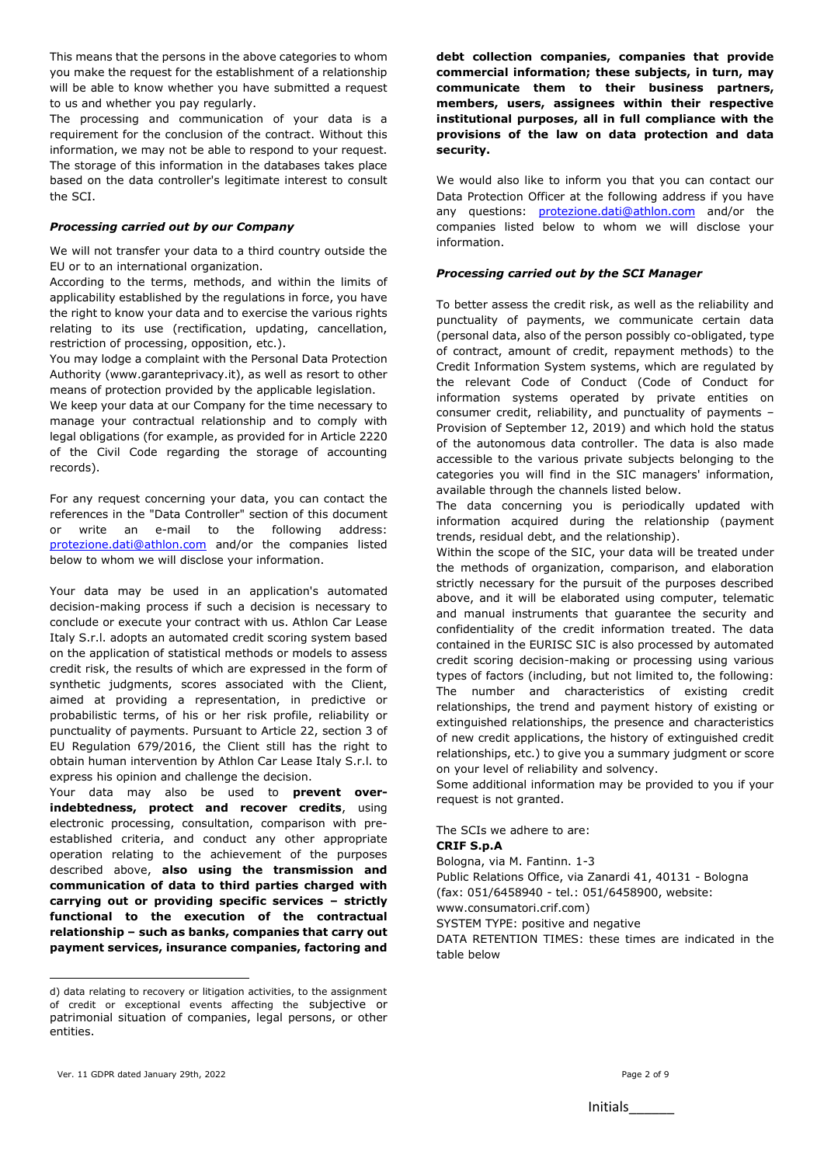This means that the persons in the above categories to whom you make the request for the establishment of a relationship will be able to know whether you have submitted a request to us and whether you pay regularly.

The processing and communication of your data is a requirement for the conclusion of the contract. Without this information, we may not be able to respond to your request. The storage of this information in the databases takes place based on the data controller's legitimate interest to consult the SCI.

## *Processing carried out by our Company*

We will not transfer your data to a third country outside the EU or to an international organization.

According to the terms, methods, and within the limits of applicability established by the regulations in force, you have the right to know your data and to exercise the various rights relating to its use (rectification, updating, cancellation, restriction of processing, opposition, etc.).

You may lodge a complaint with the Personal Data Protection Authority (www.garanteprivacy.it), as well as resort to other means of protection provided by the applicable legislation.

We keep your data at our Company for the time necessary to manage your contractual relationship and to comply with legal obligations (for example, as provided for in Article 2220 of the Civil Code regarding the storage of accounting records).

For any request concerning your data, you can contact the references in the "Data Controller" section of this document or write an e-mail to the following address: [protezione.dati@athlon.com](mailto:protezione.dati@athlon.com) and/or the companies listed below to whom we will disclose your information.

Your data may be used in an application's automated decision-making process if such a decision is necessary to conclude or execute your contract with us. Athlon Car Lease Italy S.r.l. adopts an automated credit scoring system based on the application of statistical methods or models to assess credit risk, the results of which are expressed in the form of synthetic judgments, scores associated with the Client, aimed at providing a representation, in predictive or probabilistic terms, of his or her risk profile, reliability or punctuality of payments. Pursuant to Article 22, section 3 of EU Regulation 679/2016, the Client still has the right to obtain human intervention by Athlon Car Lease Italy S.r.l. to express his opinion and challenge the decision.

Your data may also be used to **prevent overindebtedness, protect and recover credits**, using electronic processing, consultation, comparison with preestablished criteria, and conduct any other appropriate operation relating to the achievement of the purposes described above, **also using the transmission and communication of data to third parties charged with carrying out or providing specific services – strictly functional to the execution of the contractual relationship – such as banks, companies that carry out payment services, insurance companies, factoring and** 

**debt collection companies, companies that provide commercial information; these subjects, in turn, may communicate them to their business partners, members, users, assignees within their respective institutional purposes, all in full compliance with the provisions of the law on data protection and data security.**

We would also like to inform you that you can contact our Data Protection Officer at the following address if you have any questions: [protezione.dati@athlon.com](mailto:protezione.dati@athlon.com) and/or the companies listed below to whom we will disclose your information.

# *Processing carried out by the SCI Manager*

To better assess the credit risk, as well as the reliability and punctuality of payments, we communicate certain data (personal data, also of the person possibly co-obligated, type of contract, amount of credit, repayment methods) to the Credit Information System systems, which are regulated by the relevant Code of Conduct (Code of Conduct for information systems operated by private entities on consumer credit, reliability, and punctuality of payments – Provision of September 12, 2019) and which hold the status of the autonomous data controller. The data is also made accessible to the various private subjects belonging to the categories you will find in the SIC managers' information, available through the channels listed below.

The data concerning you is periodically updated with information acquired during the relationship (payment trends, residual debt, and the relationship).

Within the scope of the SIC, your data will be treated under the methods of organization, comparison, and elaboration strictly necessary for the pursuit of the purposes described above, and it will be elaborated using computer, telematic and manual instruments that guarantee the security and confidentiality of the credit information treated. The data contained in the EURISC SIC is also processed by automated credit scoring decision-making or processing using various types of factors (including, but not limited to, the following: The number and characteristics of existing credit relationships, the trend and payment history of existing or extinguished relationships, the presence and characteristics of new credit applications, the history of extinguished credit relationships, etc.) to give you a summary judgment or score on your level of reliability and solvency.

Some additional information may be provided to you if your request is not granted.

The SCIs we adhere to are:

# **CRIF S.p.A**

table below

Bologna, via M. Fantinn. 1-3 Public Relations Office, via Zanardi 41, 40131 - Bologna (fax: 051/6458940 - tel.: 051/6458900, website: www.consumatori.crif.com) SYSTEM TYPE: positive and negative DATA RETENTION TIMES: these times are indicated in the

1

d) data relating to recovery or litigation activities, to the assignment of credit or exceptional events affecting the subjective or patrimonial situation of companies, legal persons, or other entities.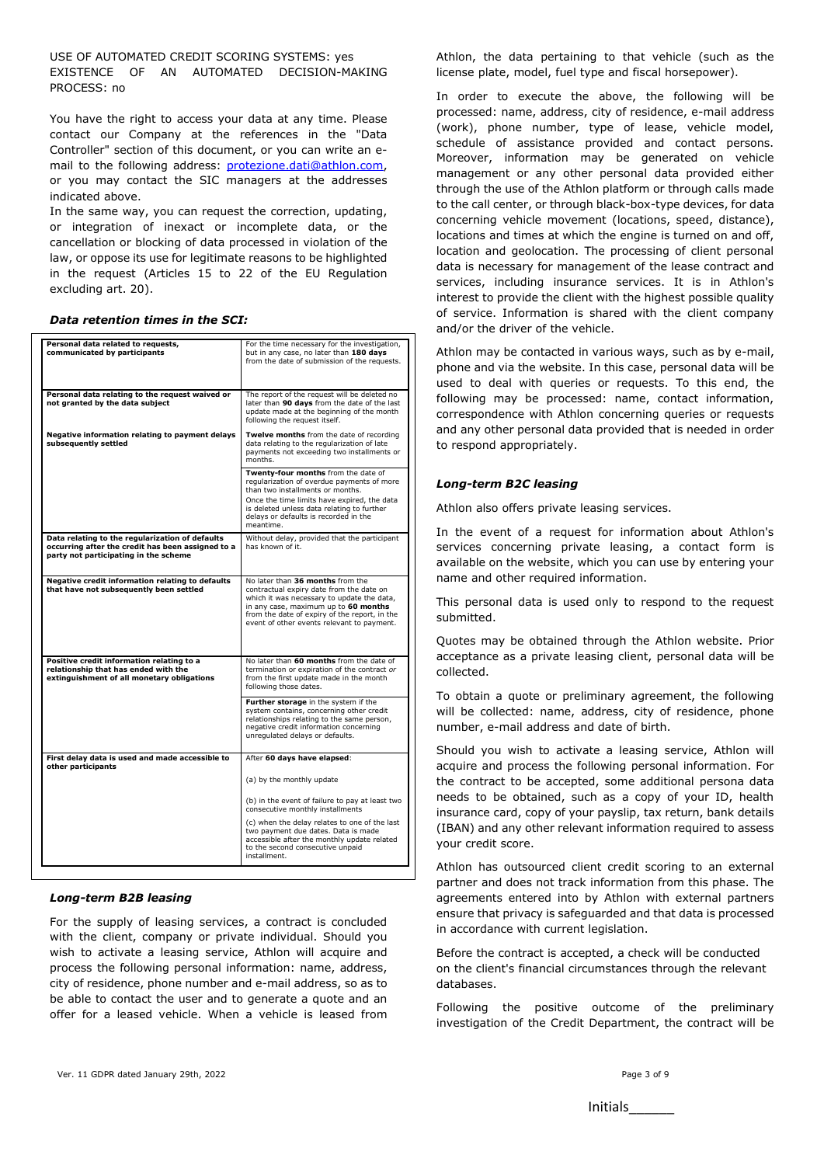USE OF AUTOMATED CREDIT SCORING SYSTEMS: yes EXISTENCE OF AN AUTOMATED DECISION-MAKING PROCESS: no

You have the right to access your data at any time. Please contact our Company at the references in the "Data Controller" section of this document, or you can write an email to the following address: [protezione.dati@athlon.com,](mailto:protezione.dati@athlon.com) or you may contact the SIC managers at the addresses indicated above.

In the same way, you can request the correction, updating, or integration of inexact or incomplete data, or the cancellation or blocking of data processed in violation of the law, or oppose its use for legitimate reasons to be highlighted in the request (Articles 15 to 22 of the EU Regulation excluding art. 20).

#### *Data retention times in the SCI:*

| Personal data related to requests,<br>communicated by participants                                                                            | For the time necessary for the investigation,<br>but in any case, no later than 180 days<br>from the date of submission of the requests.                                                                                                                                 |
|-----------------------------------------------------------------------------------------------------------------------------------------------|--------------------------------------------------------------------------------------------------------------------------------------------------------------------------------------------------------------------------------------------------------------------------|
| Personal data relating to the request waived or<br>not granted by the data subject                                                            | The report of the request will be deleted no<br>later than 90 days from the date of the last<br>update made at the beginning of the month<br>following the request itself.                                                                                               |
| Negative information relating to payment delays<br>subsequently settled                                                                       | Twelve months from the date of recording<br>data relating to the regularization of late<br>payments not exceeding two installments or<br>months.                                                                                                                         |
|                                                                                                                                               | Twenty-four months from the date of<br>regularization of overdue payments of more<br>than two installments or months.<br>Once the time limits have expired, the data<br>is deleted unless data relating to further<br>delays or defaults is recorded in the<br>meantime. |
| Data relating to the regularization of defaults<br>occurring after the credit has been assigned to a<br>party not participating in the scheme | Without delay, provided that the participant<br>has known of it.                                                                                                                                                                                                         |
| Negative credit information relating to defaults<br>that have not subsequently been settled                                                   | No later than 36 months from the<br>contractual expiry date from the date on<br>which it was necessary to update the data.<br>in any case, maximum up to 60 months<br>from the date of expiry of the report, in the<br>event of other events relevant to payment.        |
| Positive credit information relating to a<br>relationship that has ended with the<br>extinguishment of all monetary obligations               | No later than 60 months from the date of<br>termination or expiration of the contract or<br>from the first update made in the month<br>following those dates.                                                                                                            |
|                                                                                                                                               | Further storage in the system if the<br>system contains, concerning other credit<br>relationships relating to the same person,<br>negative credit information concerning<br>unregulated delays or defaults.                                                              |
| First delay data is used and made accessible to<br>other participants                                                                         | After 60 days have elapsed:                                                                                                                                                                                                                                              |
|                                                                                                                                               | (a) by the monthly update                                                                                                                                                                                                                                                |
|                                                                                                                                               | (b) in the event of failure to pay at least two<br>consecutive monthly installments                                                                                                                                                                                      |
|                                                                                                                                               | (c) when the delay relates to one of the last<br>two payment due dates. Data is made<br>accessible after the monthly update related<br>to the second consecutive unpaid<br>installment.                                                                                  |

#### *Long-term B2B leasing*

For the supply of leasing services, a contract is concluded with the client, company or private individual. Should you wish to activate a leasing service, Athlon will acquire and process the following personal information: name, address, city of residence, phone number and e-mail address, so as to be able to contact the user and to generate a quote and an offer for a leased vehicle. When a vehicle is leased from

Athlon, the data pertaining to that vehicle (such as the license plate, model, fuel type and fiscal horsepower).

In order to execute the above, the following will be processed: name, address, city of residence, e-mail address (work), phone number, type of lease, vehicle model, schedule of assistance provided and contact persons. Moreover, information may be generated on vehicle management or any other personal data provided either through the use of the Athlon platform or through calls made to the call center, or through black-box-type devices, for data concerning vehicle movement (locations, speed, distance), locations and times at which the engine is turned on and off, location and geolocation. The processing of client personal data is necessary for management of the lease contract and services, including insurance services. It is in Athlon's interest to provide the client with the highest possible quality of service. Information is shared with the client company and/or the driver of the vehicle.

Athlon may be contacted in various ways, such as by e-mail, phone and via the website. In this case, personal data will be used to deal with queries or requests. To this end, the following may be processed: name, contact information, correspondence with Athlon concerning queries or requests and any other personal data provided that is needed in order to respond appropriately.

#### *Long-term B2C leasing*

Athlon also offers private leasing services.

In the event of a request for information about Athlon's services concerning private leasing, a contact form is available on the website, which you can use by entering your name and other required information.

This personal data is used only to respond to the request submitted.

Quotes may be obtained through the Athlon website. Prior acceptance as a private leasing client, personal data will be collected.

To obtain a quote or preliminary agreement, the following will be collected: name, address, city of residence, phone number, e-mail address and date of birth.

Should you wish to activate a leasing service, Athlon will acquire and process the following personal information. For the contract to be accepted, some additional persona data needs to be obtained, such as a copy of your ID, health insurance card, copy of your payslip, tax return, bank details (IBAN) and any other relevant information required to assess your credit score.

Athlon has outsourced client credit scoring to an external partner and does not track information from this phase. The agreements entered into by Athlon with external partners ensure that privacy is safeguarded and that data is processed in accordance with current legislation.

Before the contract is accepted, a check will be conducted on the client's financial circumstances through the relevant databases.

Following the positive outcome of the preliminary investigation of the Credit Department, the contract will be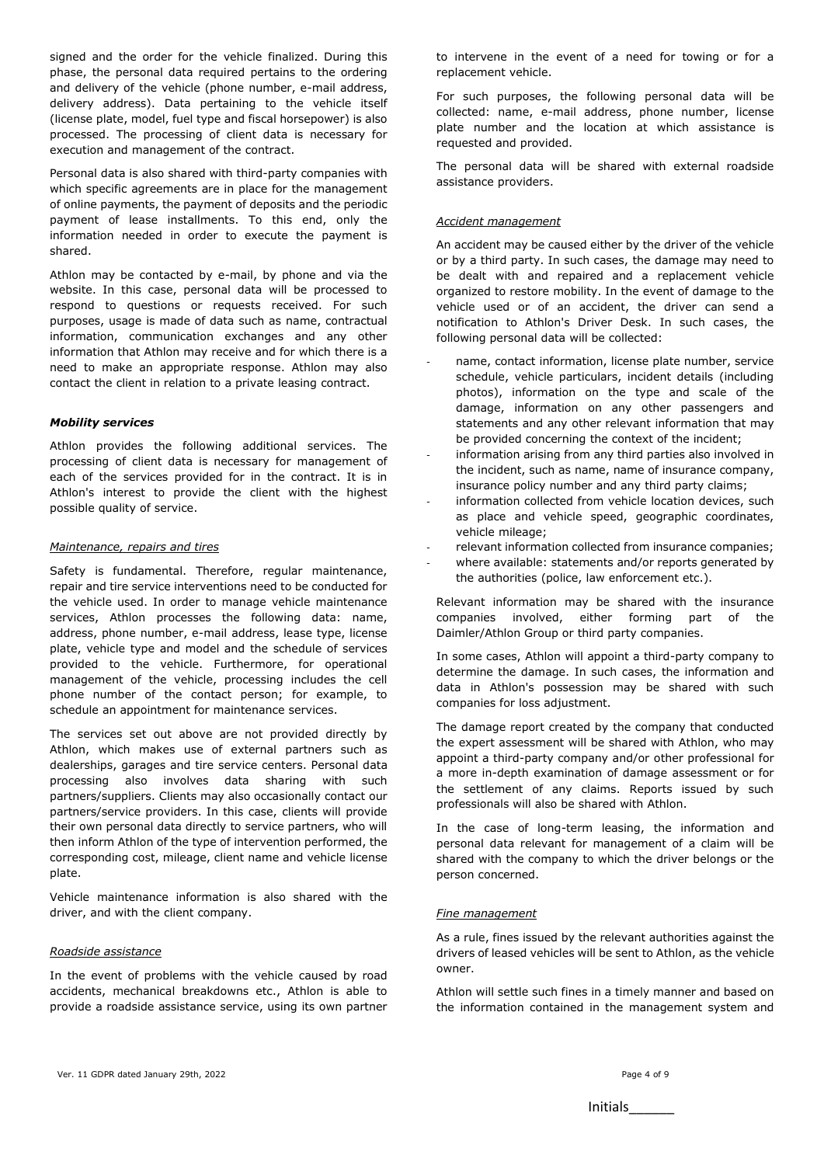signed and the order for the vehicle finalized. During this phase, the personal data required pertains to the ordering and delivery of the vehicle (phone number, e-mail address, delivery address). Data pertaining to the vehicle itself (license plate, model, fuel type and fiscal horsepower) is also processed. The processing of client data is necessary for execution and management of the contract.

Personal data is also shared with third-party companies with which specific agreements are in place for the management of online payments, the payment of deposits and the periodic payment of lease installments. To this end, only the information needed in order to execute the payment is shared.

Athlon may be contacted by e-mail, by phone and via the website. In this case, personal data will be processed to respond to questions or requests received. For such purposes, usage is made of data such as name, contractual information, communication exchanges and any other information that Athlon may receive and for which there is a need to make an appropriate response. Athlon may also contact the client in relation to a private leasing contract.

## *Mobility services*

Athlon provides the following additional services. The processing of client data is necessary for management of each of the services provided for in the contract. It is in Athlon's interest to provide the client with the highest possible quality of service.

#### *Maintenance, repairs and tires*

Safety is fundamental. Therefore, regular maintenance, repair and tire service interventions need to be conducted for the vehicle used. In order to manage vehicle maintenance services, Athlon processes the following data: name, address, phone number, e-mail address, lease type, license plate, vehicle type and model and the schedule of services provided to the vehicle. Furthermore, for operational management of the vehicle, processing includes the cell phone number of the contact person; for example, to schedule an appointment for maintenance services.

The services set out above are not provided directly by Athlon, which makes use of external partners such as dealerships, garages and tire service centers. Personal data processing also involves data sharing with such partners/suppliers. Clients may also occasionally contact our partners/service providers. In this case, clients will provide their own personal data directly to service partners, who will then inform Athlon of the type of intervention performed, the corresponding cost, mileage, client name and vehicle license plate.

Vehicle maintenance information is also shared with the driver, and with the client company.

#### *Roadside assistance*

In the event of problems with the vehicle caused by road accidents, mechanical breakdowns etc., Athlon is able to provide a roadside assistance service, using its own partner to intervene in the event of a need for towing or for a replacement vehicle.

For such purposes, the following personal data will be collected: name, e-mail address, phone number, license plate number and the location at which assistance is requested and provided.

The personal data will be shared with external roadside assistance providers.

#### *Accident management*

An accident may be caused either by the driver of the vehicle or by a third party. In such cases, the damage may need to be dealt with and repaired and a replacement vehicle organized to restore mobility. In the event of damage to the vehicle used or of an accident, the driver can send a notification to Athlon's Driver Desk. In such cases, the following personal data will be collected:

- name, contact information, license plate number, service schedule, vehicle particulars, incident details (including photos), information on the type and scale of the damage, information on any other passengers and statements and any other relevant information that may be provided concerning the context of the incident;
- information arising from any third parties also involved in the incident, such as name, name of insurance company, insurance policy number and any third party claims;
- information collected from vehicle location devices, such as place and vehicle speed, geographic coordinates, vehicle mileage;
- relevant information collected from insurance companies;
- where available: statements and/or reports generated by the authorities (police, law enforcement etc.).

Relevant information may be shared with the insurance companies involved, either forming part of the Daimler/Athlon Group or third party companies.

In some cases, Athlon will appoint a third-party company to determine the damage. In such cases, the information and data in Athlon's possession may be shared with such companies for loss adjustment.

The damage report created by the company that conducted the expert assessment will be shared with Athlon, who may appoint a third-party company and/or other professional for a more in-depth examination of damage assessment or for the settlement of any claims. Reports issued by such professionals will also be shared with Athlon.

In the case of long-term leasing, the information and personal data relevant for management of a claim will be shared with the company to which the driver belongs or the person concerned.

#### *Fine management*

As a rule, fines issued by the relevant authorities against the drivers of leased vehicles will be sent to Athlon, as the vehicle owner.

Athlon will settle such fines in a timely manner and based on the information contained in the management system and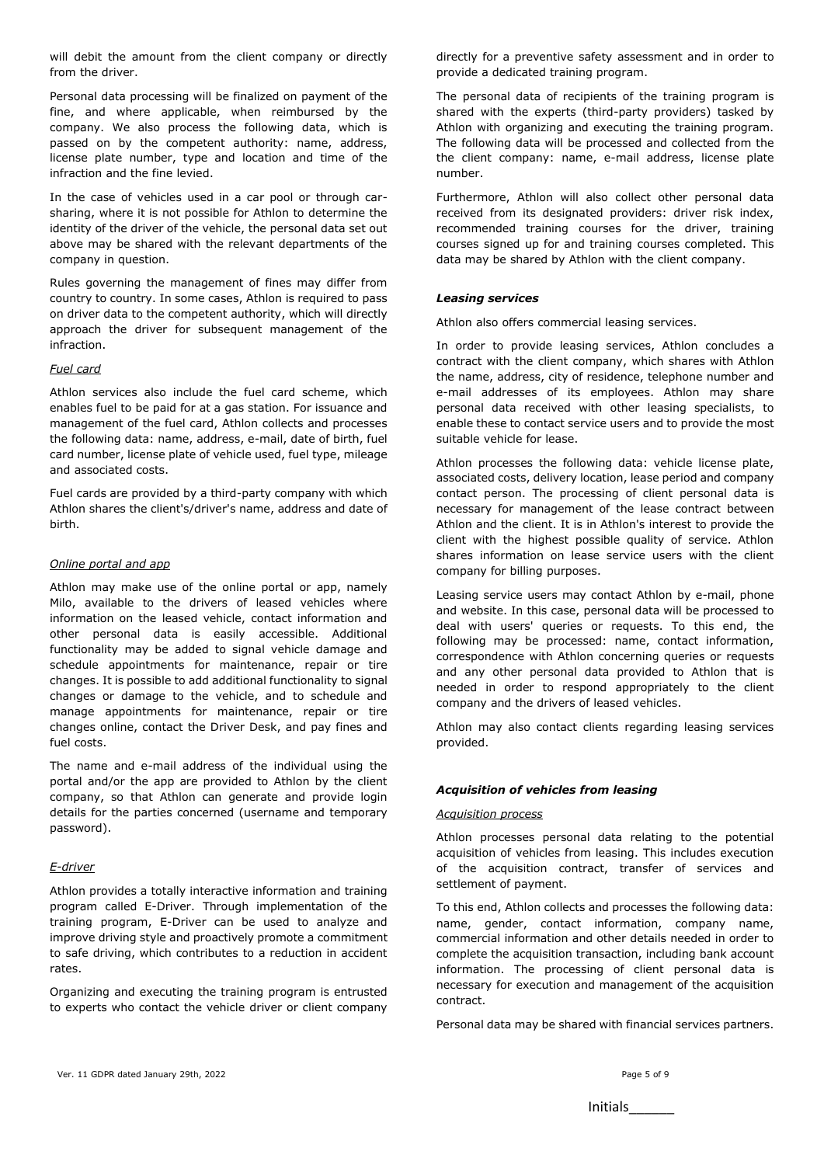will debit the amount from the client company or directly from the driver.

Personal data processing will be finalized on payment of the fine, and where applicable, when reimbursed by the company. We also process the following data, which is passed on by the competent authority: name, address, license plate number, type and location and time of the infraction and the fine levied.

In the case of vehicles used in a car pool or through carsharing, where it is not possible for Athlon to determine the identity of the driver of the vehicle, the personal data set out above may be shared with the relevant departments of the company in question.

Rules governing the management of fines may differ from country to country. In some cases, Athlon is required to pass on driver data to the competent authority, which will directly approach the driver for subsequent management of the infraction.

#### *Fuel card*

Athlon services also include the fuel card scheme, which enables fuel to be paid for at a gas station. For issuance and management of the fuel card, Athlon collects and processes the following data: name, address, e-mail, date of birth, fuel card number, license plate of vehicle used, fuel type, mileage and associated costs.

Fuel cards are provided by a third-party company with which Athlon shares the client's/driver's name, address and date of birth.

#### *Online portal and app*

Athlon may make use of the online portal or app, namely Milo, available to the drivers of leased vehicles where information on the leased vehicle, contact information and other personal data is easily accessible. Additional functionality may be added to signal vehicle damage and schedule appointments for maintenance, repair or tire changes. It is possible to add additional functionality to signal changes or damage to the vehicle, and to schedule and manage appointments for maintenance, repair or tire changes online, contact the Driver Desk, and pay fines and fuel costs.

The name and e-mail address of the individual using the portal and/or the app are provided to Athlon by the client company, so that Athlon can generate and provide login details for the parties concerned (username and temporary password).

#### *E-driver*

Athlon provides a totally interactive information and training program called E-Driver. Through implementation of the training program, E-Driver can be used to analyze and improve driving style and proactively promote a commitment to safe driving, which contributes to a reduction in accident rates.

Organizing and executing the training program is entrusted to experts who contact the vehicle driver or client company directly for a preventive safety assessment and in order to provide a dedicated training program.

The personal data of recipients of the training program is shared with the experts (third-party providers) tasked by Athlon with organizing and executing the training program. The following data will be processed and collected from the the client company: name, e-mail address, license plate number.

Furthermore, Athlon will also collect other personal data received from its designated providers: driver risk index, recommended training courses for the driver, training courses signed up for and training courses completed. This data may be shared by Athlon with the client company.

## *Leasing services*

Athlon also offers commercial leasing services.

In order to provide leasing services, Athlon concludes a contract with the client company, which shares with Athlon the name, address, city of residence, telephone number and e-mail addresses of its employees. Athlon may share personal data received with other leasing specialists, to enable these to contact service users and to provide the most suitable vehicle for lease.

Athlon processes the following data: vehicle license plate, associated costs, delivery location, lease period and company contact person. The processing of client personal data is necessary for management of the lease contract between Athlon and the client. It is in Athlon's interest to provide the client with the highest possible quality of service. Athlon shares information on lease service users with the client company for billing purposes.

Leasing service users may contact Athlon by e-mail, phone and website. In this case, personal data will be processed to deal with users' queries or requests. To this end, the following may be processed: name, contact information, correspondence with Athlon concerning queries or requests and any other personal data provided to Athlon that is needed in order to respond appropriately to the client company and the drivers of leased vehicles.

Athlon may also contact clients regarding leasing services provided.

#### *Acquisition of vehicles from leasing*

#### *Acquisition process*

Athlon processes personal data relating to the potential acquisition of vehicles from leasing. This includes execution of the acquisition contract, transfer of services and settlement of payment.

To this end, Athlon collects and processes the following data: name, gender, contact information, company name, commercial information and other details needed in order to complete the acquisition transaction, including bank account information. The processing of client personal data is necessary for execution and management of the acquisition contract.

Personal data may be shared with financial services partners.

Initials\_\_\_\_\_\_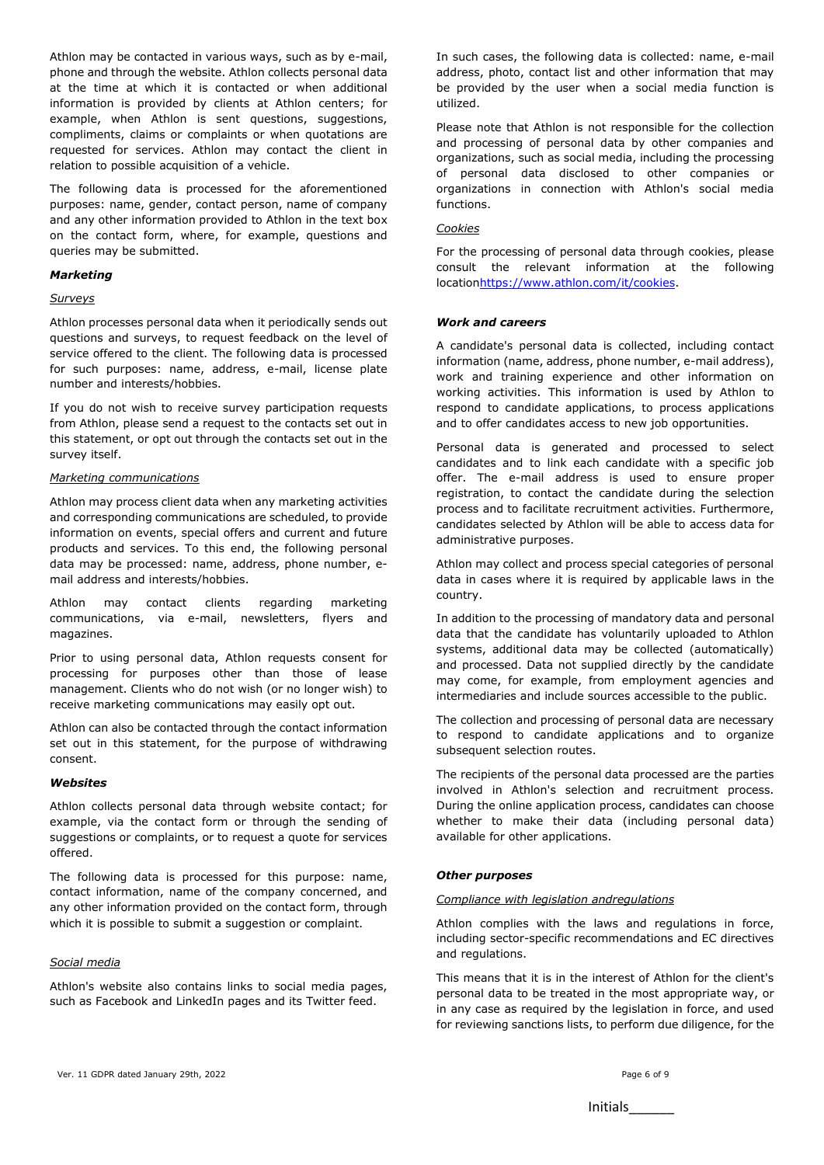Athlon may be contacted in various ways, such as by e-mail, phone and through the website. Athlon collects personal data at the time at which it is contacted or when additional information is provided by clients at Athlon centers; for example, when Athlon is sent questions, suggestions, compliments, claims or complaints or when quotations are requested for services. Athlon may contact the client in relation to possible acquisition of a vehicle.

The following data is processed for the aforementioned purposes: name, gender, contact person, name of company and any other information provided to Athlon in the text box on the contact form, where, for example, questions and queries may be submitted.

#### *Marketing*

## *Surveys*

Athlon processes personal data when it periodically sends out questions and surveys, to request feedback on the level of service offered to the client. The following data is processed for such purposes: name, address, e-mail, license plate number and interests/hobbies.

If you do not wish to receive survey participation requests from Athlon, please send a request to the contacts set out in this statement, or opt out through the contacts set out in the survey itself.

## *Marketing communications*

Athlon may process client data when any marketing activities and corresponding communications are scheduled, to provide information on events, special offers and current and future products and services. To this end, the following personal data may be processed: name, address, phone number, email address and interests/hobbies.

Athlon may contact clients regarding marketing communications, via e-mail, newsletters, flyers and magazines.

Prior to using personal data, Athlon requests consent for processing for purposes other than those of lease management. Clients who do not wish (or no longer wish) to receive marketing communications may easily opt out.

Athlon can also be contacted through the contact information set out in this statement, for the purpose of withdrawing consent.

#### *Websites*

Athlon collects personal data through website contact; for example, via the contact form or through the sending of suggestions or complaints, or to request a quote for services offered.

The following data is processed for this purpose: name, contact information, name of the company concerned, and any other information provided on the contact form, through which it is possible to submit a suggestion or complaint.

## *Social media*

Athlon's website also contains links to social media pages, such as Facebook and LinkedIn pages and its Twitter feed.

In such cases, the following data is collected: name, e-mail address, photo, contact list and other information that may be provided by the user when a social media function is utilized.

Please note that Athlon is not responsible for the collection and processing of personal data by other companies and organizations, such as social media, including the processing of personal data disclosed to other companies or organizations in connection with Athlon's social media functions.

## *Cookies*

For the processing of personal data through cookies, please consult the relevant information at the following locatio[nhttps://www.athlon.com/it/cookies.](https://www.athlon.com/it/cookies)

#### *Work and careers*

A candidate's personal data is collected, including contact information (name, address, phone number, e-mail address), work and training experience and other information on working activities. This information is used by Athlon to respond to candidate applications, to process applications and to offer candidates access to new job opportunities.

Personal data is generated and processed to select candidates and to link each candidate with a specific job offer. The e-mail address is used to ensure proper registration, to contact the candidate during the selection process and to facilitate recruitment activities. Furthermore, candidates selected by Athlon will be able to access data for administrative purposes.

Athlon may collect and process special categories of personal data in cases where it is required by applicable laws in the country.

In addition to the processing of mandatory data and personal data that the candidate has voluntarily uploaded to Athlon systems, additional data may be collected (automatically) and processed. Data not supplied directly by the candidate may come, for example, from employment agencies and intermediaries and include sources accessible to the public.

The collection and processing of personal data are necessary to respond to candidate applications and to organize subsequent selection routes.

The recipients of the personal data processed are the parties involved in Athlon's selection and recruitment process. During the online application process, candidates can choose whether to make their data (including personal data) available for other applications.

#### *Other purposes*

#### *Compliance with legislation andregulations*

Athlon complies with the laws and regulations in force, including sector-specific recommendations and EC directives and regulations.

This means that it is in the interest of Athlon for the client's personal data to be treated in the most appropriate way, or in any case as required by the legislation in force, and used for reviewing sanctions lists, to perform due diligence, for the

Initials\_\_\_\_\_\_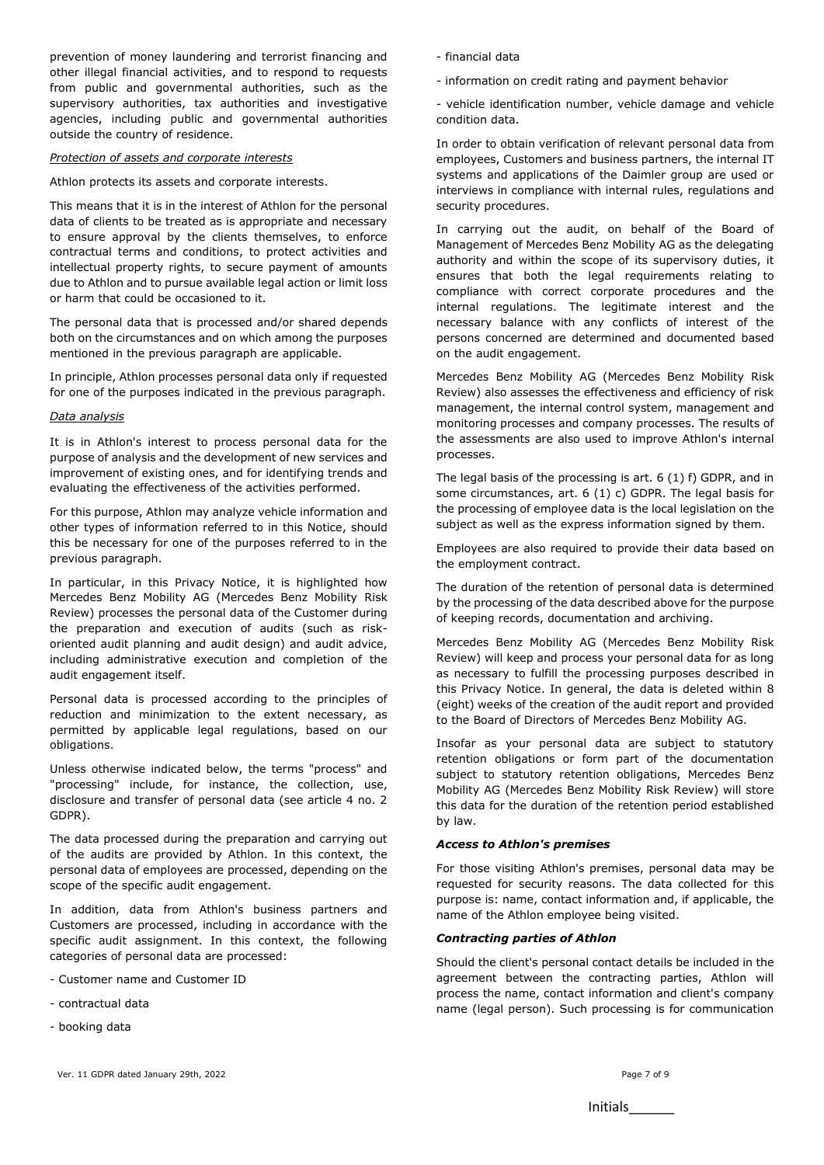prevention of money laundering and terrorist financing and other illegal financial activities, and to respond to requests from public and governmental authorities, such as the supervisory authorities, tax authorities and investigative agencies, including public and governmental authorities outside the country of residence.

#### *Protection of assets and corporate interests*

Athlon protects its assets and corporate interests.

This means that it is in the interest of Athlon for the personal data of clients to be treated as is appropriate and necessary to ensure approval by the clients themselves, to enforce contractual terms and conditions, to protect activities and intellectual property rights, to secure payment of amounts due to Athlon and to pursue available legal action or limit loss or harm that could be occasioned to it.

The personal data that is processed and/or shared depends both on the circumstances and on which among the purposes mentioned in the previous paragraph are applicable.

In principle, Athlon processes personal data only if requested for one of the purposes indicated in the previous paragraph.

## *Data analysis*

It is in Athlon's interest to process personal data for the purpose of analysis and the development of new services and improvement of existing ones, and for identifying trends and evaluating the effectiveness of the activities performed.

For this purpose, Athlon may analyze vehicle information and other types of information referred to in this Notice, should this be necessary for one of the purposes referred to in the previous paragraph.

In particular, in this Privacy Notice, it is highlighted how Mercedes Benz Mobility AG (Mercedes Benz Mobility Risk Review) processes the personal data of the Customer during the preparation and execution of audits (such as riskoriented audit planning and audit design) and audit advice, including administrative execution and completion of the audit engagement itself.

Personal data is processed according to the principles of reduction and minimization to the extent necessary, as permitted by applicable legal regulations, based on our obligations.

Unless otherwise indicated below, the terms "process" and "processing" include, for instance, the collection, use, disclosure and transfer of personal data (see article 4 no. 2 GDPR).

The data processed during the preparation and carrying out of the audits are provided by Athlon. In this context, the personal data of employees are processed, depending on the scope of the specific audit engagement.

In addition, data from Athlon's business partners and Customers are processed, including in accordance with the specific audit assignment. In this context, the following categories of personal data are processed:

- Customer name and Customer ID
- contractual data
- booking data
- financial data
- information on credit rating and payment behavior

- vehicle identification number, vehicle damage and vehicle condition data.

In order to obtain verification of relevant personal data from employees, Customers and business partners, the internal IT systems and applications of the Daimler group are used or interviews in compliance with internal rules, regulations and security procedures.

In carrying out the audit, on behalf of the Board of Management of Mercedes Benz Mobility AG as the delegating authority and within the scope of its supervisory duties, it ensures that both the legal requirements relating to compliance with correct corporate procedures and the internal regulations. The legitimate interest and the necessary balance with any conflicts of interest of the persons concerned are determined and documented based on the audit engagement.

Mercedes Benz Mobility AG (Mercedes Benz Mobility Risk Review) also assesses the effectiveness and efficiency of risk management, the internal control system, management and monitoring processes and company processes. The results of the assessments are also used to improve Athlon's internal processes.

The legal basis of the processing is art. 6 (1) f) GDPR, and in some circumstances, art. 6 (1) c) GDPR. The legal basis for the processing of employee data is the local legislation on the subject as well as the express information signed by them.

Employees are also required to provide their data based on the employment contract.

The duration of the retention of personal data is determined by the processing of the data described above for the purpose of keeping records, documentation and archiving.

Mercedes Benz Mobility AG (Mercedes Benz Mobility Risk Review) will keep and process your personal data for as long as necessary to fulfill the processing purposes described in this Privacy Notice. In general, the data is deleted within 8 (eight) weeks of the creation of the audit report and provided to the Board of Directors of Mercedes Benz Mobility AG.

Insofar as your personal data are subject to statutory retention obligations or form part of the documentation subject to statutory retention obligations, Mercedes Benz Mobility AG (Mercedes Benz Mobility Risk Review) will store this data for the duration of the retention period established by law.

#### *Access to Athlon's premises*

For those visiting Athlon's premises, personal data may be requested for security reasons. The data collected for this purpose is: name, contact information and, if applicable, the name of the Athlon employee being visited.

## *Contracting parties of Athlon*

Should the client's personal contact details be included in the agreement between the contracting parties, Athlon will process the name, contact information and client's company name (legal person). Such processing is for communication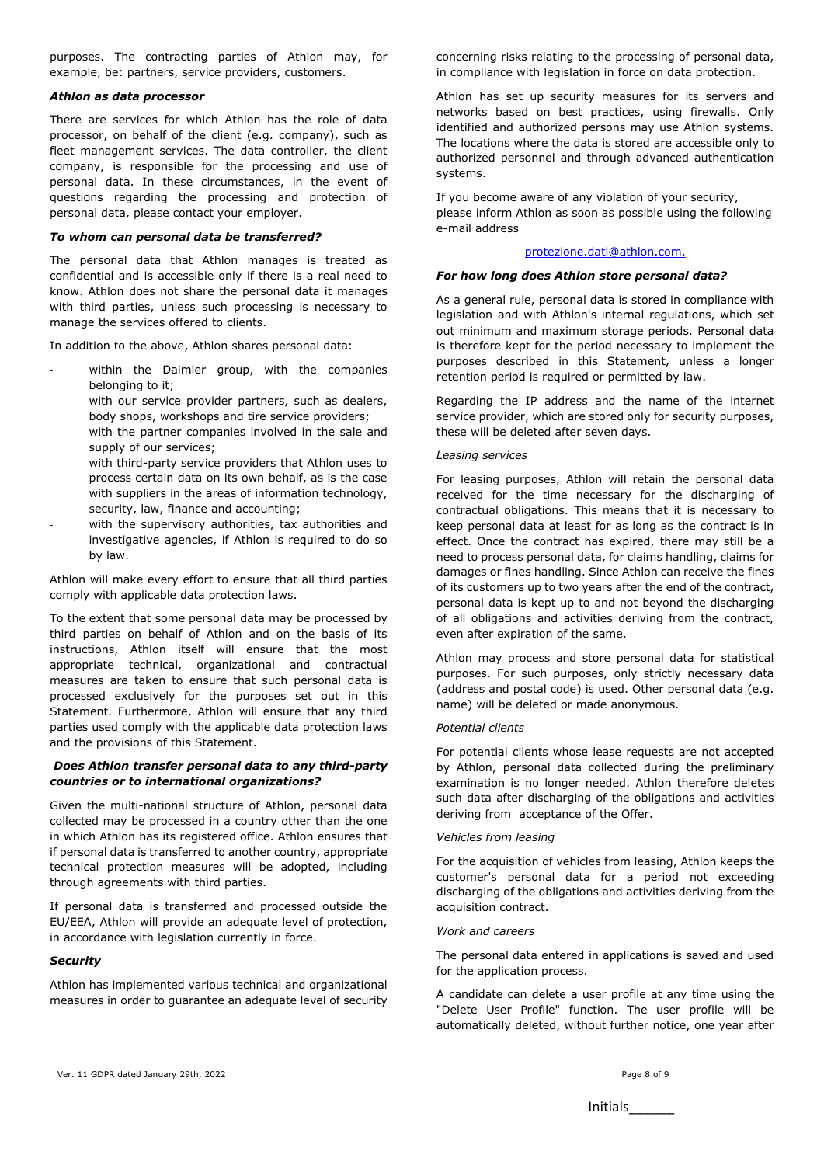purposes. The contracting parties of Athlon may, for example, be: partners, service providers, customers.

## *Athlon as data processor*

There are services for which Athlon has the role of data processor, on behalf of the client (e.g. company), such as fleet management services. The data controller, the client company, is responsible for the processing and use of personal data. In these circumstances, in the event of questions regarding the processing and protection of personal data, please contact your employer.

## *To whom can personal data be transferred?*

The personal data that Athlon manages is treated as confidential and is accessible only if there is a real need to know. Athlon does not share the personal data it manages with third parties, unless such processing is necessary to manage the services offered to clients.

In addition to the above, Athlon shares personal data:

- within the Daimler group, with the companies belonging to it;
- with our service provider partners, such as dealers, body shops, workshops and tire service providers;
- with the partner companies involved in the sale and supply of our services;
- with third-party service providers that Athlon uses to process certain data on its own behalf, as is the case with suppliers in the areas of information technology, security, law, finance and accounting;
- with the supervisory authorities, tax authorities and investigative agencies, if Athlon is required to do so by law.

Athlon will make every effort to ensure that all third parties comply with applicable data protection laws.

To the extent that some personal data may be processed by third parties on behalf of Athlon and on the basis of its instructions, Athlon itself will ensure that the most appropriate technical, organizational and contractual measures are taken to ensure that such personal data is processed exclusively for the purposes set out in this Statement. Furthermore, Athlon will ensure that any third parties used comply with the applicable data protection laws and the provisions of this Statement.

## *Does Athlon transfer personal data to any third-party countries or to international organizations?*

Given the multi-national structure of Athlon, personal data collected may be processed in a country other than the one in which Athlon has its registered office. Athlon ensures that if personal data is transferred to another country, appropriate technical protection measures will be adopted, including through agreements with third parties.

If personal data is transferred and processed outside the EU/EEA, Athlon will provide an adequate level of protection, in accordance with legislation currently in force.

## *Security*

Athlon has implemented various technical and organizational measures in order to guarantee an adequate level of security

concerning risks relating to the processing of personal data, in compliance with legislation in force on data protection.

Athlon has set up security measures for its servers and networks based on best practices, using firewalls. Only identified and authorized persons may use Athlon systems. The locations where the data is stored are accessible only to authorized personnel and through advanced authentication systems.

If you become aware of any violation of your security, please inform Athlon as soon as possible using the following e-mail address

## [protezione.dati@athlon.com.](mailto:protezione.dati@athlon.com)

#### *For how long does Athlon store personal data?*

As a general rule, personal data is stored in compliance with legislation and with Athlon's internal regulations, which set out minimum and maximum storage periods. Personal data is therefore kept for the period necessary to implement the purposes described in this Statement, unless a longer retention period is required or permitted by law.

Regarding the IP address and the name of the internet service provider, which are stored only for security purposes, these will be deleted after seven days.

#### *Leasing services*

For leasing purposes, Athlon will retain the personal data received for the time necessary for the discharging of contractual obligations. This means that it is necessary to keep personal data at least for as long as the contract is in effect. Once the contract has expired, there may still be a need to process personal data, for claims handling, claims for damages or fines handling. Since Athlon can receive the fines of its customers up to two years after the end of the contract, personal data is kept up to and not beyond the discharging of all obligations and activities deriving from the contract, even after expiration of the same.

Athlon may process and store personal data for statistical purposes. For such purposes, only strictly necessary data (address and postal code) is used. Other personal data (e.g. name) will be deleted or made anonymous.

#### *Potential clients*

For potential clients whose lease requests are not accepted by Athlon, personal data collected during the preliminary examination is no longer needed. Athlon therefore deletes such data after discharging of the obligations and activities deriving from acceptance of the Offer.

#### *Vehicles from leasing*

For the acquisition of vehicles from leasing, Athlon keeps the customer's personal data for a period not exceeding discharging of the obligations and activities deriving from the acquisition contract.

### *Work and careers*

The personal data entered in applications is saved and used for the application process.

A candidate can delete a user profile at any time using the "Delete User Profile" function. The user profile will be automatically deleted, without further notice, one year after